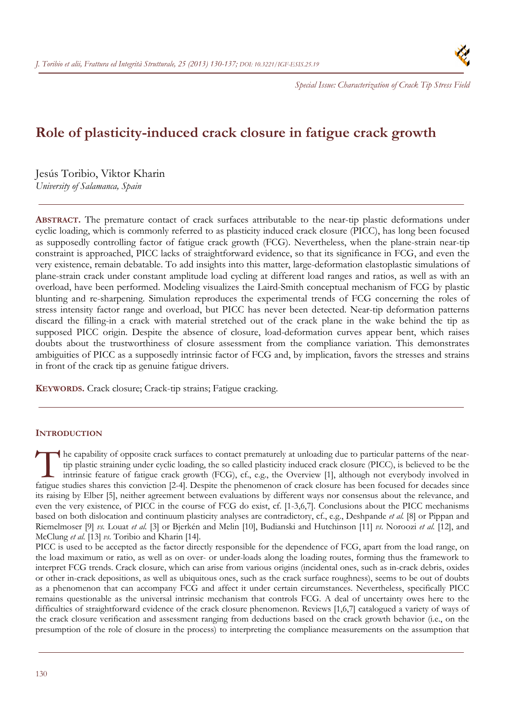

*Special Issue: Characterization of Crack Tip Stress Field*

# **Role of plasticity-induced crack closure in fatigue crack growth**

Jesús Toribio, Viktor Kharin *University of Salamanca, Spain* 

**ABSTRACT.** The premature contact of crack surfaces attributable to the near-tip plastic deformations under cyclic loading, which is commonly referred to as plasticity induced crack closure (PICC), has long been focused as supposedly controlling factor of fatigue crack growth (FCG). Nevertheless, when the plane-strain near-tip constraint is approached, PICC lacks of straightforward evidence, so that its significance in FCG, and even the very existence, remain debatable. To add insights into this matter, large-deformation elastoplastic simulations of plane-strain crack under constant amplitude load cycling at different load ranges and ratios, as well as with an overload, have been performed. Modeling visualizes the Laird-Smith conceptual mechanism of FCG by plastic blunting and re-sharpening. Simulation reproduces the experimental trends of FCG concerning the roles of stress intensity factor range and overload, but PICC has never been detected. Near-tip deformation patterns discard the filling-in a crack with material stretched out of the crack plane in the wake behind the tip as supposed PICC origin. Despite the absence of closure, load-deformation curves appear bent, which raises doubts about the trustworthiness of closure assessment from the compliance variation. This demonstrates ambiguities of PICC as a supposedly intrinsic factor of FCG and, by implication, favors the stresses and strains in front of the crack tip as genuine fatigue drivers.

**KEYWORDS.** Crack closure; Crack-tip strains; Fatigue cracking.

## **INTRODUCTION**

he capability of opposite crack surfaces to contact prematurely at unloading due to particular patterns of the neartip plastic straining under cyclic loading, the so called plasticity induced crack closure (PICC), is believed to be the intrinsic feature of fatigue crack growth (FCG), cf., e.g., the Overview [1], although not everybody involved in The capability of opposite crack surfaces to contact prematurely at unloading due to particular patterns of the near-<br>tip plastic straining under cyclic loading, the so called plasticity induced crack closure (PICC), is be its raising by Elber [5], neither agreement between evaluations by different ways nor consensus about the relevance, and even the very existence, of PICC in the course of FCG do exist, cf. [1-3,6,7]. Conclusions about the PICC mechanisms based on both dislocation and continuum plasticity analyses are contradictory, cf., e.g., Deshpande *et al.* [8] or Pippan and Riemelmoser [9] *vs.* Louat *et al.* [3] or Bjerkén and Melin [10], Budianski and Hutchinson [11] *vs.* Noroozi *et al.* [12], and McClung *et al.* [13] *vs.* Toribio and Kharin [14].

PICC is used to be accepted as the factor directly responsible for the dependence of FCG, apart from the load range, on the load maximum or ratio, as well as on over- or under-loads along the loading routes, forming thus the framework to interpret FCG trends. Crack closure, which can arise from various origins (incidental ones, such as in-crack debris, oxides or other in-crack depositions, as well as ubiquitous ones, such as the crack surface roughness), seems to be out of doubts as a phenomenon that can accompany FCG and affect it under certain circumstances. Nevertheless, specifically PICC remains questionable as the universal intrinsic mechanism that controls FCG. A deal of uncertainty owes here to the difficulties of straightforward evidence of the crack closure phenomenon. Reviews [1,6,7] catalogued a variety of ways of the crack closure verification and assessment ranging from deductions based on the crack growth behavior (i.e., on the presumption of the role of closure in the process) to interpreting the compliance measurements on the assumption that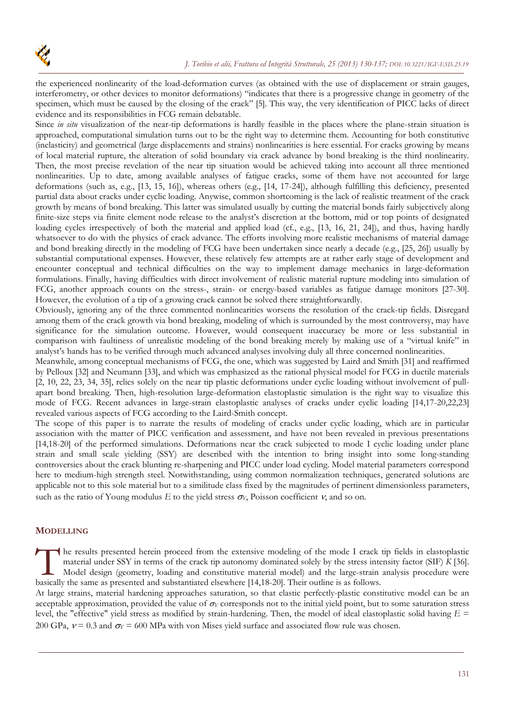the experienced nonlinearity of the load-deformation curves (as obtained with the use of displacement or strain gauges, interferometry, or other devices to monitor deformations) "indicates that there is a progressive change in geometry of the specimen, which must be caused by the closing of the crack" [5]. This way, the very identification of PICC lacks of direct evidence and its responsibilities in FCG remain debatable.

Since *in situ* visualization of the near-tip deformations is hardly feasible in the places where the plane-strain situation is approached, computational simulation turns out to be the right way to determine them. Accounting for both constitutive (inelasticity) and geometrical (large displacements and strains) nonlinearities is here essential. For cracks growing by means of local material rupture, the alteration of solid boundary via crack advance by bond breaking is the third nonlinearity. Then, the most precise revelation of the near tip situation would be achieved taking into account all three mentioned nonlinearities. Up to date, among available analyses of fatigue cracks, some of them have not accounted for large deformations (such as, e.g., [13, 15, 16]), whereas others (e.g., [14, 17-24]), although fulfilling this deficiency, presented partial data about cracks under cyclic loading. Anywise, common shortcoming is the lack of realistic treatment of the crack growth by means of bond breaking. This latter was simulated usually by cutting the material bonds fairly subjectively along finite-size steps via finite element node release to the analyst's discretion at the bottom, mid or top points of designated loading cycles irrespectively of both the material and applied load (cf., e.g., [13, 16, 21, 24]), and thus, having hardly whatsoever to do with the physics of crack advance. The efforts involving more realistic mechanisms of material damage and bond breaking directly in the modeling of FCG have been undertaken since nearly a decade (e.g., [25, 26]) usually by substantial computational expenses. However, these relatively few attempts are at rather early stage of development and encounter conceptual and technical difficulties on the way to implement damage mechanics in large-deformation formulations. Finally, having difficulties with direct involvement of realistic material rupture modeling into simulation of FCG, another approach counts on the stress-, strain- or energy-based variables as fatigue damage monitors [27-30]. However, the evolution of a tip of a growing crack cannot be solved there straightforwardly.

Obviously, ignoring any of the three commented nonlinearities worsens the resolution of the crack-tip fields. Disregard among them of the crack growth via bond breaking, modeling of which is surrounded by the most controversy, may have significance for the simulation outcome. However, would consequent inaccuracy be more or less substantial in comparison with faultiness of unrealistic modeling of the bond breaking merely by making use of a "virtual knife" in analyst's hands has to be verified through much advanced analyses involving duly all three concerned nonlinearities.

Meanwhile, among conceptual mechanisms of FCG, the one, which was suggested by Laird and Smith [31] and reaffirmed by Pelloux [32] and Neumann [33], and which was emphasized as the rational physical model for FCG in ductile materials [2, 10, 22, 23, 34, 35], relies solely on the near tip plastic deformations under cyclic loading without involvement of pullapart bond breaking. Then, high-resolution large-deformation elastoplastic simulation is the right way to visualize this mode of FCG. Recent advances in large-strain elastoplastic analyses of cracks under cyclic loading [14,17-20,22,23] revealed various aspects of FCG according to the Laird-Smith concept.

The scope of this paper is to narrate the results of modeling of cracks under cyclic loading, which are in particular association with the matter of PICC verification and assessment, and have not been revealed in previous presentations [14,18-20] of the performed simulations. Deformations near the crack subjected to mode I cyclic loading under plane strain and small scale yielding (SSY) are described with the intention to bring insight into some long-standing controversies about the crack blunting re-sharpening and PICC under load cycling. Model material parameters correspond here to medium-high strength steel. Notwithstanding, using common normalization techniques, generated solutions are applicable not to this sole material but to a similitude class fixed by the magnitudes of pertinent dimensionless parameters, such as the ratio of Young modulus  $E$  to the yield stress  $\sigma_Y$ , Poisson coefficient  $\nu$ , and so on.

# **MODELLING**

he results presented herein proceed from the extensive modeling of the mode I crack tip fields in elastoplastic material under SSY in terms of the crack tip autonomy dominated solely by the stress intensity factor (SIF) *K* [36]. Model design (geometry, loading and constitutive material model) and the large-strain analysis procedure were The results presented herein proceed from the extensive modeling of the mode I crack is material under SSY in terms of the crack tip autonomy dominated solely by the stress inte Model design (geometry, loading and constitu

At large strains, material hardening approaches saturation, so that elastic perfectly-plastic constitutive model can be an acceptable approximation, provided the value of  $\sigma_Y$  corresponds not to the initial yield point, but to some saturation stress level, the "effective" yield stress as modified by strain-hardening. Then, the model of ideal elastoplastic solid having *E* = 200 GPa,  $v = 0.3$  and  $\sigma_Y = 600$  MPa with von Mises yield surface and associated flow rule was chosen.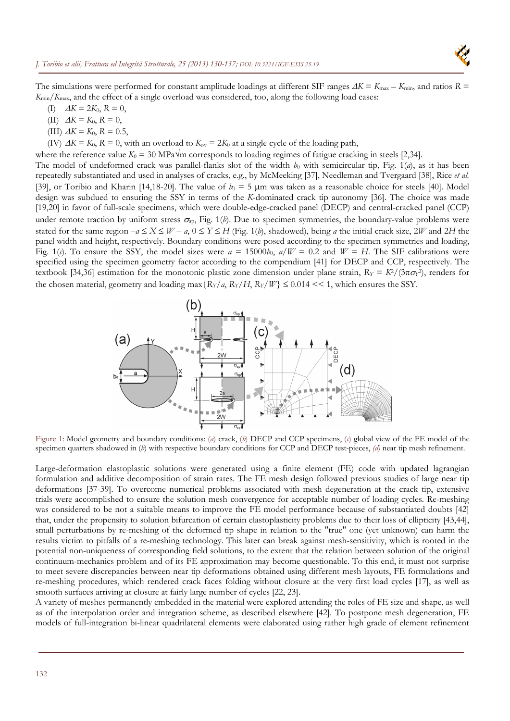

The simulations were performed for constant amplitude loadings at different SIF ranges  $\Delta K = K_{\text{max}} - K_{\text{min}}$ , and ratios  $R =$ *K*min/*K*max, and the effect of a single overload was considered, too, along the following load cases:

- (I)  $\Delta K = 2K_0, R = 0,$
- (II)  $\Delta K = K_0, R = 0,$
- (III)  $\Delta K = K_0$ ,  $R = 0.5$ ,
- (IV)  $\Delta K = K_0$ ,  $R = 0$ , with an overload to  $K_{ov} = 2K_0$  at a single cycle of the loading path,

where the reference value  $K_0 = 30$  MPa $\sqrt{m}$  corresponds to loading regimes of fatigue cracking in steels [2,34].

The model of undeformed crack was parallel-flanks slot of the width  $b_0$  with semicircular tip, Fig. 1(*a*), as it has been repeatedly substantiated and used in analyses of cracks, e.g., by McMeeking [37], Needleman and Tvergaard [38], Rice *et al.* [39], or Toribio and Kharin [14,18-20]. The value of  $b_0 = 5 \mu m$  was taken as a reasonable choice for steels [40]. Model design was subdued to ensuring the SSY in terms of the *K*-dominated crack tip autonomy [36]. The choice was made [19,20] in favor of full-scale specimens, which were double-edge-cracked panel (DECP) and central-cracked panel (CCP) under remote traction by uniform stress  $\sigma_{ap}$ , Fig. 1(b). Due to specimen symmetries, the boundary-value problems were stated for the same region  $-a \le X \le W - a$ ,  $0 \le Y \le H$  (Fig. 1(*b*), shadowed), being *a* the initial crack size, 2*W* and 2*H* the panel width and height, respectively. Boundary conditions were posed according to the specimen symmetries and loading, Fig. 1(*c*). To ensure the SSY, the model sizes were  $a = 15000b_0$ ,  $a/W = 0.2$  and  $W = H$ . The SIF calibrations were specified using the specimen geometry factor according to the compendium [41] for DECP and CCP, respectively. The textbook [34,36] estimation for the monotonic plastic zone dimension under plane strain,  $R_Y = K^2/(3\pi\sigma_Y^2)$ , renders for the chosen material, geometry and loading max  $\{R_Y/a, R_Y/H, R_Y/W\} \leq 0.014 \lt\lt 1$ , which ensures the SSY.



Figure 1: Model geometry and boundary conditions: (*a*) crack, (*b*) DECP and CCP specimens, (*c*) global view of the FE model of the specimen quarters shadowed in (*b*) with respective boundary conditions for CCP and DECP test-pieces, *(d)* near tip mesh refinement.

Large-deformation elastoplastic solutions were generated using a finite element (FE) code with updated lagrangian formulation and additive decomposition of strain rates. The FE mesh design followed previous studies of large near tip deformations [37-39]. To overcome numerical problems associated with mesh degeneration at the crack tip, extensive trials were accomplished to ensure the solution mesh convergence for acceptable number of loading cycles. Re-meshing was considered to be not a suitable means to improve the FE model performance because of substantiated doubts [42] that, under the propensity to solution bifurcation of certain elastoplasticity problems due to their loss of ellipticity [43,44], small perturbations by re-meshing of the deformed tip shape in relation to the "true" one (yet unknown) can harm the results victim to pitfalls of a re-meshing technology. This later can break against mesh-sensitivity, which is rooted in the potential non-uniqueness of corresponding field solutions, to the extent that the relation between solution of the original continuum-mechanics problem and of its FE approximation may become questionable. To this end, it must not surprise to meet severe discrepancies between near tip deformations obtained using different mesh layouts, FE formulations and re-meshing procedures, which rendered crack faces folding without closure at the very first load cycles [17], as well as smooth surfaces arriving at closure at fairly large number of cycles [22, 23].

A variety of meshes permanently embedded in the material were explored attending the roles of FE size and shape, as well as of the interpolation order and integration scheme, as described elsewhere [42]. To postpone mesh degeneration, FE models of full-integration bi-linear quadrilateral elements were elaborated using rather high grade of element refinement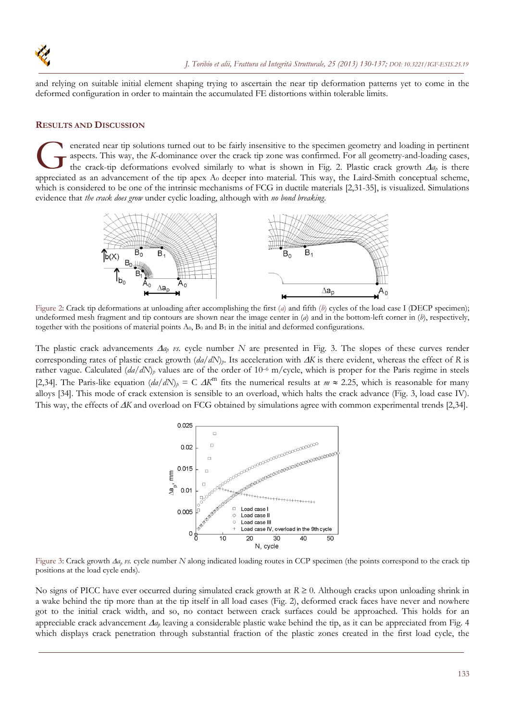

and relying on suitable initial element shaping trying to ascertain the near tip deformation patterns yet to come in the deformed configuration in order to maintain the accumulated FE distortions within tolerable limits.

#### **RESULTS AND DISCUSSION**

enerated near tip solutions turned out to be fairly insensitive to the specimen geometry and loading in pertinent aspects. This way, the *K*-dominance over the crack tip zone was confirmed. For all geometry-and-loading cases, the crack-tip deformations evolved similarly to what is shown in Fig. 2. Plastic crack growth  $\Delta a_p$  is there **A** enerated near tip solutions turned out to be fairly insensitive to the specimen geometry and loading in pertinent aspects. This way, the K-dominance over the crack tip zone was confirmed. For all geometry-and-loading which is considered to be one of the intrinsic mechanisms of FCG in ductile materials [2,31-35], is visualized. Simulations evidence that *the crack does grow* under cyclic loading, although with *no bond breaking*.



Figure 2: Crack tip deformations at unloading after accomplishing the first (*a*) and fifth (*b*) cycles of the load case I (DECP specimen); undeformed mesh fragment and tip contours are shown near the image center in (*a*) and in the bottom-left corner in (*b*), respectively, together with the positions of material points  $A_0$ ,  $B_0$  and  $B_1$  in the initial and deformed configurations.

The plastic crack advancements  $\Delta a_p$  vs. cycle number *N* are presented in Fig. 3. The slopes of these curves render corresponding rates of plastic crack growth  $(da/dN)<sub>p</sub>$ . Its acceleration with  $\Delta K$  is there evident, whereas the effect of *R* is rather vague. Calculated  $(da/dN)$ <sup>p</sup> values are of the order of 10<sup>-6</sup> m/cycle, which is proper for the Paris regime in steels [2,34]. The Paris-like equation  $\left(\frac{da}{dN}\right)_p = C A K^m$  fits the numerical results at  $m \approx 2.25$ , which is reasonable for many alloys [34]. This mode of crack extension is sensible to an overload, which halts the crack advance (Fig. 3, load case IV). This way, the effects of  $\Delta K$  and overload on FCG obtained by simulations agree with common experimental trends [2,34].



Figure 3: Crack growth  $Aa<sub>p</sub>$  *vs.* cycle number *N* along indicated loading routes in CCP specimen (the points correspond to the crack tip positions at the load cycle ends).

No signs of PICC have ever occurred during simulated crack growth at  $R \ge 0$ . Although cracks upon unloading shrink in a wake behind the tip more than at the tip itself in all load cases (Fig. 2), deformed crack faces have never and nowhere got to the initial crack width, and so, no contact between crack surfaces could be approached. This holds for an appreciable crack advancement  $\Delta a_p$  leaving a considerable plastic wake behind the tip, as it can be appreciated from Fig. 4 which displays crack penetration through substantial fraction of the plastic zones created in the first load cycle, the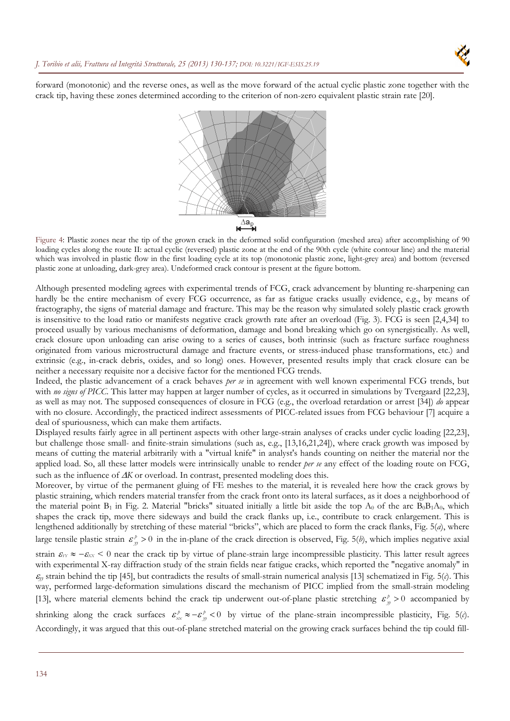

forward (monotonic) and the reverse ones, as well as the move forward of the actual cyclic plastic zone together with the crack tip, having these zones determined according to the criterion of non-zero equivalent plastic strain rate [20].



Figure 4: Plastic zones near the tip of the grown crack in the deformed solid configuration (meshed area) after accomplishing of 90 loading cycles along the route II: actual cyclic (reversed) plastic zone at the end of the 90th cycle (white contour line) and the material which was involved in plastic flow in the first loading cycle at its top (monotonic plastic zone, light-grey area) and bottom (reversed plastic zone at unloading, dark-grey area). Undeformed crack contour is present at the figure bottom.

Although presented modeling agrees with experimental trends of FCG, crack advancement by blunting re-sharpening can hardly be the entire mechanism of every FCG occurrence, as far as fatigue cracks usually evidence, e.g., by means of fractography, the signs of material damage and fracture. This may be the reason why simulated solely plastic crack growth is insensitive to the load ratio or manifests negative crack growth rate after an overload (Fig. 3). FCG is seen [2,4,34] to proceed usually by various mechanisms of deformation, damage and bond breaking which go on synergistically. As well, crack closure upon unloading can arise owing to a series of causes, both intrinsic (such as fracture surface roughness originated from various microstructural damage and fracture events, or stress-induced phase transformations, etc.) and extrinsic (e.g., in-crack debris, oxides, and so long) ones. However, presented results imply that crack closure can be neither a necessary requisite nor a decisive factor for the mentioned FCG trends.

Indeed, the plastic advancement of a crack behaves *per se* in agreement with well known experimental FCG trends, but with *no signs of PICC*. This latter may happen at larger number of cycles, as it occurred in simulations by Tvergaard [22,23], as well as may not. The supposed consequences of closure in FCG (e.g., the overload retardation or arrest [34]) *do* appear with no closure. Accordingly, the practiced indirect assessments of PICC-related issues from FCG behaviour [7] acquire a deal of spuriousness, which can make them artifacts.

Displayed results fairly agree in all pertinent aspects with other large-strain analyses of cracks under cyclic loading [22,23], but challenge those small- and finite-strain simulations (such as, e.g., [13,16,21,24]), where crack growth was imposed by means of cutting the material arbitrarily with a "virtual knife" in analyst's hands counting on neither the material nor the applied load. So, all these latter models were intrinsically unable to render *per se* any effect of the loading route on FCG, such as the influence of  $\Delta K$  or overload. In contrast, presented modeling does this.

Moreover, by virtue of the permanent gluing of FE meshes to the material, it is revealed here how the crack grows by plastic straining, which renders material transfer from the crack front onto its lateral surfaces, as it does a neighborhood of the material point  $B_1$  in Fig. 2. Material "bricks" situated initially a little bit aside the top  $A_0$  of the arc  $B_0B_1A_0$ , which shapes the crack tip, move there sideways and build the crack flanks up, i.e., contribute to crack enlargement. This is lengthened additionally by stretching of these material "bricks", which are placed to form the crack flanks, Fig. 5(*a*), where large tensile plastic strain  $\mathcal{E}_m^p > 0$  in the in-plane of the crack direction is observed, Fig. 5(*b*), which implies negative axial strain  $\mathcal{E}_{Y} \approx -\mathcal{E}_{XX} \leq 0$  near the crack tip by virtue of plane-strain large incompressible plasticity. This latter result agrees with experimental X-ray diffraction study of the strain fields near fatigue cracks, which reported the "negative anomaly" in

 $\mathcal{E}_y$  strain behind the tip [45], but contradicts the results of small-strain numerical analysis [13] schematized in Fig. 5(*c*). This way, performed large-deformation simulations discard the mechanism of PICC implied from the small-strain modeling [13], where material elements behind the crack tip underwent out-of-plane plastic stretching  $\varepsilon_p^p > 0$  accompanied by

shrinking along the crack surfaces  $\varepsilon_{xx}^p \approx -\varepsilon_{yy}^p < 0$  by virtue of the plane-strain incompressible plasticity, Fig. 5(*c*). Accordingly, it was argued that this out-of-plane stretched material on the growing crack surfaces behind the tip could fill-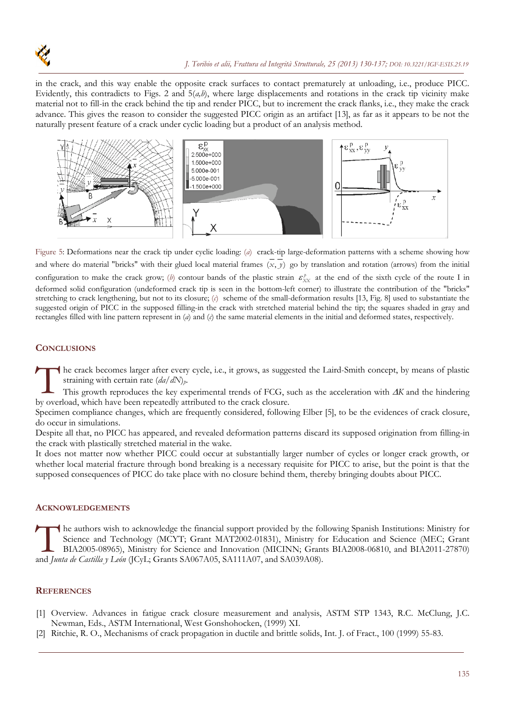

in the crack, and this way enable the opposite crack surfaces to contact prematurely at unloading, i.e., produce PICC. Evidently, this contradicts to Figs. 2 and  $5(a,b)$ , where large displacements and rotations in the crack tip vicinity make material not to fill-in the crack behind the tip and render PICC, but to increment the crack flanks, i.e., they make the crack advance. This gives the reason to consider the suggested PICC origin as an artifact [13], as far as it appears to be not the naturally present feature of a crack under cyclic loading but a product of an analysis method.



Figure 5: Deformations near the crack tip under cyclic loading: (*a*) crack-tip large-deformation patterns with a scheme showing how and where do material "bricks" with their glued local material frames (x, y) go by translation and rotation (arrows) from the initial configuration to make the crack grow; (b) contour bands of the plastic strain  $\varepsilon_{XX}^p$  at the end of the sixth cycle of the route I in deformed solid configuration (undeformed crack tip is seen in the bottom-left corner) to illustrate the contribution of the "bricks" stretching to crack lengthening, but not to its closure; (*c*) scheme of the small-deformation results [13, Fig. 8] used to substantiate the suggested origin of PICC in the supposed filling-in the crack with stretched material behind the tip; the squares shaded in gray and rectangles filled with line pattern represent in (*a*) and (*c*) the same material elements in the initial and deformed states, respectively.

## **CONCLUSIONS**

he crack becomes larger after every cycle, i.e., it grows, as suggested the Laird-Smith concept, by means of plastic straining with certain rate (*da/dN*)*p*. The crack becomes larger after every cycle, i.e., it grows, as sugge straining with certain rate  $(da/dN)<sub>p</sub>$ .<br>This growth reproduces the key experimental trends of FCG, so by overload, which have been repeatedly attribute

This growth reproduces the key experimental trends of FCG, such as the acceleration with  $\Delta K$  and the hindering

Specimen compliance changes, which are frequently considered, following Elber [5], to be the evidences of crack closure, do occur in simulations.

Despite all that, no PICC has appeared, and revealed deformation patterns discard its supposed origination from filling-in the crack with plastically stretched material in the wake.

It does not matter now whether PICC could occur at substantially larger number of cycles or longer crack growth, or whether local material fracture through bond breaking is a necessary requisite for PICC to arise, but the point is that the supposed consequences of PICC do take place with no closure behind them, thereby bringing doubts about PICC.

## **ACKNOWLEDGEMENTS**

he authors wish to acknowledge the financial support provided by the following Spanish Institutions: Ministry for Science and Technology (MCYT; Grant MAT2002-01831), Ministry for Education and Science (MEC; Grant BIA2005-08965), Ministry for Science and Innovation (MICINN; Grants BIA2008-06810, and BIA2011-27870) The authors wish to acknowledge the financial support provided by the forecastion of Technology (MCYT; Grant MAT2002-01831), Ministry for SL BIA2005-08965), Ministry for Science and Innovation (MICINN; Grant and *Junta de* 

#### **REFERENCES**

- [1] Overview. Advances in fatigue crack closure measurement and analysis, ASTM STP 1343, R.C. McClung, J.C. Newman, Eds., ASTM International, West Gonshohocken, (1999) XI.
- [2] Ritchie, R. O., Mechanisms of crack propagation in ductile and brittle solids, Int. J. of Fract., 100 (1999) 55-83.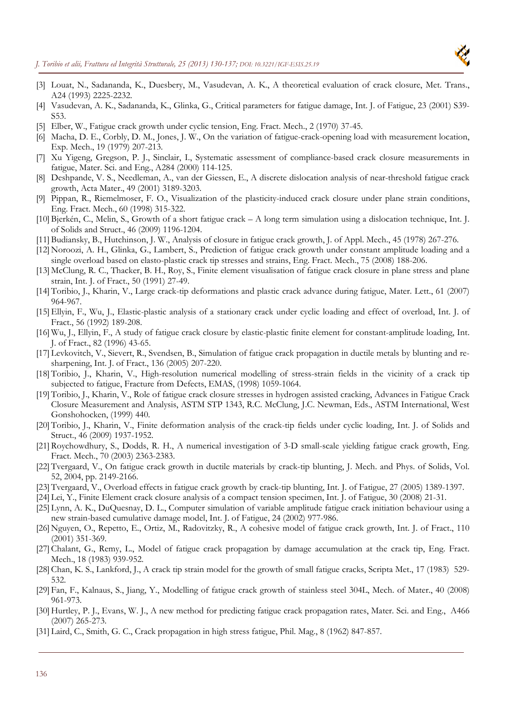

- [3] Louat, N., Sadananda, K., Duesbery, M., Vasudevan, A. K., A theoretical evaluation of crack closure, Met. Trans., A24 (1993) 2225-2232.
- [4] Vasudevan, A. K., Sadananda, K., Glinka, G., Critical parameters for fatigue damage, Int. J. of Fatigue, 23 (2001) S39- S53.
- [5] Elber, W., Fatigue crack growth under cyclic tension, Eng. Fract. Mech., 2 (1970) 37-45.
- [6] Macha, D. E., Corbly, D. M., Jones, J. W., On the variation of fatigue-crack-opening load with measurement location, Exp. Mech., 19 (1979) 207-213.
- [7] Xu Yigeng, Gregson, P. J., Sinclair, I., Systematic assessment of compliance-based crack closure measurements in fatigue, Mater. Sci. and Eng., A284 (2000) 114-125.
- [8] Deshpande, V. S., Needleman, A., van der Giessen, E., A discrete dislocation analysis of near-threshold fatigue crack growth, Acta Mater., 49 (2001) 3189-3203.
- [9] Pippan, R., Riemelmoser, F. O., Visualization of the plasticity-induced crack closure under plane strain conditions, Eng. Fract. Mech., 60 (1998) 315-322.
- [10] Bjerkén, C., Melin, S., Growth of a short fatigue crack A long term simulation using a dislocation technique, Int. J. of Solids and Struct., 46 (2009) 1196-1204.
- [11] Budiansky, B., Hutchinson, J. W., Analysis of closure in fatigue crack growth, J. of Appl. Mech., 45 (1978) 267-276.
- [12] Noroozi, A. H., Glinka, G., Lambert, S., Prediction of fatigue crack growth under constant amplitude loading and a single overload based on elasto-plastic crack tip stresses and strains, Eng. Fract. Mech., 75 (2008) 188-206.
- [13] McClung, R. C., Thacker, B. H., Roy, S., Finite element visualisation of fatigue crack closure in plane stress and plane strain, Int. J. of Fract., 50 (1991) 27-49.
- [14] Toribio, J., Kharin, V., Large crack-tip deformations and plastic crack advance during fatigue, Mater. Lett., 61 (2007) 964-967.
- [15]Ellyin, F., Wu, J., Elastic-plastic analysis of a stationary crack under cyclic loading and effect of overload, Int. J. of Fract., 56 (1992) 189-208.
- [16] Wu, J., Ellyin, F., A study of fatigue crack closure by elastic-plastic finite element for constant-amplitude loading, Int. J. of Fract., 82 (1996) 43-65.
- [17] Levkovitch, V., Sievert, R., Svendsen, B., Simulation of fatigue crack propagation in ductile metals by blunting and resharpening, Int. J. of Fract., 136 (2005) 207-220.
- [18] Toribio, J., Kharin, V., High-resolution numerical modelling of stress-strain fields in the vicinity of a crack tip subjected to fatigue, Fracture from Defects, EMAS, (1998) 1059-1064.
- [19] Toribio, J., Kharin, V., Role of fatigue crack closure stresses in hydrogen assisted cracking, Advances in Fatigue Crack Closure Measurement and Analysis, ASTM STP 1343, R.C. McClung, J.C. Newman, Eds., ASTM International, West Gonshohocken, (1999) 440.
- [20] Toribio, J., Kharin, V., Finite deformation analysis of the crack-tip fields under cyclic loading, Int. J. of Solids and Struct., 46 (2009) 1937-1952.
- [21] Roychowdhury, S., Dodds, R. H., A numerical investigation of 3-D small-scale yielding fatigue crack growth, Eng. Fract. Mech., 70 (2003) 2363-2383.
- [22] Tvergaard, V., On fatigue crack growth in ductile materials by crack-tip blunting, J. Mech. and Phys. of Solids, Vol. 52, 2004, pp. 2149-2166.
- [23] Tvergaard, V., Overload effects in fatigue crack growth by crack-tip blunting, Int. J. of Fatigue, 27 (2005) 1389-1397.
- [24] Lei, Y., Finite Element crack closure analysis of a compact tension specimen, Int. J. of Fatigue, 30 (2008) 21-31.
- [25] Lynn, A. K., DuQuesnay, D. L., Computer simulation of variable amplitude fatigue crack initiation behaviour using a new strain-based cumulative damage model, Int. J. of Fatigue, 24 (2002) 977-986.
- [26] Nguyen, O., Repetto, E., Ortiz, M., Radovitzky, R., A cohesive model of fatigue crack growth, Int. J. of Fract., 110 (2001) 351-369.
- [27] Chalant, G., Remy, L., Model of fatigue crack propagation by damage accumulation at the crack tip, Eng. Fract. Mech., 18 (1983) 939-952.
- [28] Chan, K. S., Lankford, J., A crack tip strain model for the growth of small fatigue cracks, Scripta Met., 17 (1983) 529- 532.
- [29] Fan, F., Kalnaus, S., Jiang, Y., Modelling of fatigue crack growth of stainless steel 304L, Mech. of Mater., 40 (2008) 961-973.
- [30] Hurtley, P. J., Evans, W. J., A new method for predicting fatigue crack propagation rates, Mater. Sci. and Eng., A466 (2007) 265-273.
- [31] Laird, C., Smith, G. C., Crack propagation in high stress fatigue, Phil. Mag., 8 (1962) 847-857.